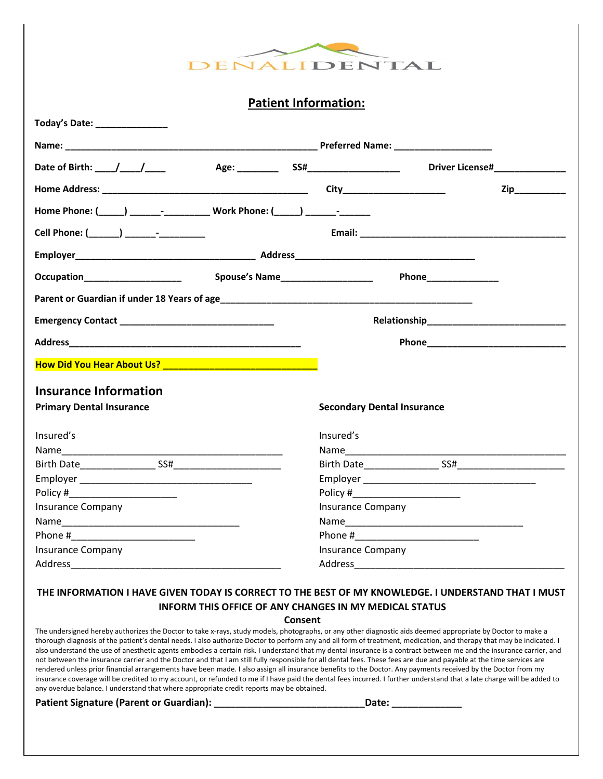

**Patient Information:**

| Today's Date: _______________                                                                                                                                                                                                  |                          |                                   |                |
|--------------------------------------------------------------------------------------------------------------------------------------------------------------------------------------------------------------------------------|--------------------------|-----------------------------------|----------------|
|                                                                                                                                                                                                                                |                          |                                   |                |
| Date of Birth: \big \times\bigs\bigs\bigs\connect\left(\bigs\bigs\connect\left(\bigs\bigs\connect\left(\bigs\connect\left(\bigs\connect\left(\bigs\connect\left(\bigs\connect\left(\bigs\connect\left(\bigs\connect\left(\bigs |                          |                                   |                |
|                                                                                                                                                                                                                                |                          |                                   | Zip___________ |
| Home Phone: (_____) __________________________ Work Phone: (_____) _____________                                                                                                                                               |                          |                                   |                |
| Cell Phone: (_______) _______-_________                                                                                                                                                                                        |                          |                                   |                |
|                                                                                                                                                                                                                                |                          |                                   |                |
| Occupation____________________                                                                                                                                                                                                 |                          |                                   |                |
|                                                                                                                                                                                                                                |                          |                                   |                |
|                                                                                                                                                                                                                                |                          |                                   |                |
|                                                                                                                                                                                                                                |                          |                                   |                |
|                                                                                                                                                                                                                                |                          |                                   |                |
| <b>Insurance Information</b>                                                                                                                                                                                                   |                          |                                   |                |
| <b>Primary Dental Insurance</b>                                                                                                                                                                                                |                          | <b>Secondary Dental Insurance</b> |                |
| Insured's                                                                                                                                                                                                                      | Insured's                |                                   |                |
|                                                                                                                                                                                                                                |                          |                                   |                |
|                                                                                                                                                                                                                                |                          |                                   |                |
|                                                                                                                                                                                                                                |                          |                                   |                |
|                                                                                                                                                                                                                                |                          |                                   |                |
| <b>Insurance Company</b>                                                                                                                                                                                                       | <b>Insurance Company</b> |                                   |                |
|                                                                                                                                                                                                                                |                          |                                   |                |
|                                                                                                                                                                                                                                |                          |                                   |                |
| <b>Insurance Company</b>                                                                                                                                                                                                       | <b>Insurance Company</b> |                                   |                |
|                                                                                                                                                                                                                                |                          |                                   |                |

### **THE INFORMATION I HAVE GIVEN TODAY IS CORRECT TO THE BEST OF MY KNOWLEDGE. I UNDERSTAND THAT I MUST INFORM THIS OFFICE OF ANY CHANGES IN MY MEDICAL STATUS**

**Consent** 

The undersigned hereby authorizes the Doctor to take x-rays, study models, photographs, or any other diagnostic aids deemed appropriate by Doctor to make a thorough diagnosis of the patient's dental needs. I also authorize Doctor to perform any and all form of treatment, medication, and therapy that may be indicated. I also understand the use of anesthetic agents embodies a certain risk. I understand that my dental insurance is a contract between me and the insurance carrier, and not between the insurance carrier and the Doctor and that I am still fully responsible for all dental fees. These fees are due and payable at the time services are rendered unless prior financial arrangements have been made. I also assign all insurance benefits to the Doctor. Any payments received by the Doctor from my insurance coverage will be credited to my account, or refunded to me if I have paid the dental fees incurred. I further understand that a late charge will be added to any overdue balance. I understand that where appropriate credit reports may be obtained.

Patient Signature (Parent or Guardian): **We are also constant to the United States** Date: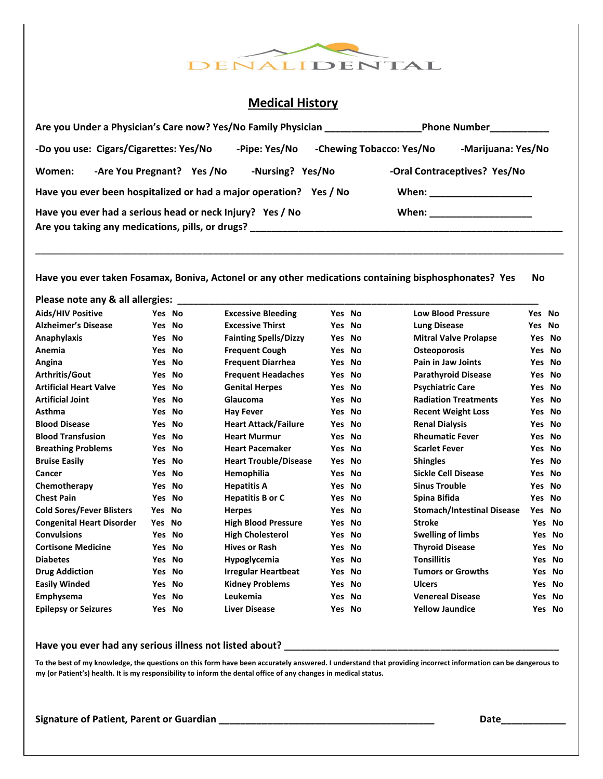

## **Medical History**

| Are you Under a Physician's Care now? Yes/No Family Physician                                                 |                  |                          | Phone Number___________      |
|---------------------------------------------------------------------------------------------------------------|------------------|--------------------------|------------------------------|
| -Do you use: Cigars/Cigarettes: Yes/No                                                                        | -Pipe: Yes/No    | -Chewing Tobacco: Yes/No | -Marijuana: Yes/No           |
| -Are You Pregnant? Yes /No<br>Women:                                                                          | -Nursing? Yes/No |                          | -Oral Contraceptives? Yes/No |
| Have you ever been hospitalized or had a major operation? Yes / No                                            |                  |                          | When: _____________________  |
| Have you ever had a serious head or neck Injury? Yes / No<br>Are you taking any medications, pills, or drugs? |                  |                          | When: ____________________   |

**Have you ever taken Fosamax, Boniva, Actonel or any other medications containing bisphosphonates? Yes No** 

\_\_\_\_\_\_\_\_\_\_\_\_\_\_\_\_\_\_\_\_\_\_\_\_\_\_\_\_\_\_\_\_\_\_\_\_\_\_\_\_\_\_\_\_\_\_\_\_\_\_\_\_\_\_\_\_\_\_\_\_\_\_\_\_\_\_\_\_\_\_\_\_\_\_\_\_\_\_\_\_\_\_\_\_\_\_\_\_\_\_\_\_\_\_\_\_\_\_

**Please note any & all allergies: \_\_\_\_\_\_\_\_\_\_\_\_\_\_\_\_\_\_\_\_\_\_\_\_\_\_\_\_\_\_\_\_\_\_\_\_\_\_\_\_\_\_\_\_\_\_\_\_\_\_\_\_\_\_\_\_\_\_\_\_\_\_\_\_\_\_\_** 

| <b>Aids/HIV Positive</b>         |            | Yes No | <b>Excessive Bleeding</b>    | Yes No     |           | <b>Low Blood Pressure</b>         | Yes No     |        |
|----------------------------------|------------|--------|------------------------------|------------|-----------|-----------------------------------|------------|--------|
| <b>Alzheimer's Disease</b>       | Yes.       | No     | <b>Excessive Thirst</b>      | Yes        | <b>No</b> | <b>Lung Disease</b>               | Yes        | No     |
| Anaphylaxis                      |            | Yes No | <b>Fainting Spells/Dizzy</b> | <b>Yes</b> | No        | <b>Mitral Valve Prolapse</b>      | Yes No     |        |
| Anemia                           | Yes        | No     | <b>Frequent Cough</b>        | Yes        | No        | <b>Osteoporosis</b>               | Yes No     |        |
| Angina                           |            | Yes No | <b>Frequent Diarrhea</b>     | Yes No     |           | Pain in Jaw Joints                | Yes No     |        |
| <b>Arthritis/Gout</b>            | Yes        | No     | <b>Frequent Headaches</b>    | Yes        | No        | <b>Parathyroid Disease</b>        | Yes No     |        |
| <b>Artificial Heart Valve</b>    |            | Yes No | <b>Genital Herpes</b>        | Yes        | No        | <b>Psychiatric Care</b>           | Yes No     |        |
| <b>Artificial Joint</b>          | Yes.       | No     | Glaucoma                     | <b>Yes</b> | No        | <b>Radiation Treatments</b>       | Yes No     |        |
| Asthma                           |            | Yes No | <b>Hay Fever</b>             | Yes No     |           | <b>Recent Weight Loss</b>         | Yes No     |        |
| <b>Blood Disease</b>             | Yes.       | No     | <b>Heart Attack/Failure</b>  | <b>Yes</b> | No        | <b>Renal Dialysis</b>             | Yes No     |        |
| <b>Blood Transfusion</b>         |            | Yes No | <b>Heart Murmur</b>          | Yes No     |           | <b>Rheumatic Fever</b>            | Yes No     |        |
| <b>Breathing Problems</b>        | Yes.       | No     | <b>Heart Pacemaker</b>       | <b>Yes</b> | No        | <b>Scarlet Fever</b>              | Yes No     |        |
| <b>Bruise Easily</b>             |            | Yes No | <b>Heart Trouble/Disease</b> | <b>Yes</b> | No        | <b>Shingles</b>                   | Yes No     |        |
| Cancer                           | Yes        | No     | Hemophilia                   | Yes        | <b>No</b> | Sickle Cell Disease               | Yes No     |        |
| Chemotherapy                     |            | Yes No | <b>Hepatitis A</b>           | Yes        | - No      | <b>Sinus Trouble</b>              | Yes No     |        |
| <b>Chest Pain</b>                | Yes        | No     | <b>Hepatitis B or C</b>      | <b>Yes</b> | No        | Spina Bifida                      | <b>Yes</b> | No     |
| <b>Cold Sores/Fever Blisters</b> | Yes        | No     | <b>Herpes</b>                | Yes No     |           | <b>Stomach/Intestinal Disease</b> | Yes        | No     |
| <b>Congenital Heart Disorder</b> | <b>Yes</b> | No     | <b>High Blood Pressure</b>   | <b>Yes</b> | No        | <b>Stroke</b>                     | Yes        | No     |
| <b>Convulsions</b>               |            | Yes No | <b>High Cholesterol</b>      | Yes No     |           | <b>Swelling of limbs</b>          |            | Yes No |
| <b>Cortisone Medicine</b>        | Yes        | No     | <b>Hives or Rash</b>         | <b>Yes</b> | No        | <b>Thyroid Disease</b>            | Yes        | No     |
| <b>Diabetes</b>                  |            | Yes No | Hypoglycemia                 | <b>Yes</b> | No        | <b>Tonsillitis</b>                |            | Yes No |
| <b>Drug Addiction</b>            | Yes.       | No     | <b>Irregular Heartbeat</b>   | <b>Yes</b> | No        | <b>Tumors or Growths</b>          | <b>Yes</b> | - No   |
| <b>Easily Winded</b>             | Yes.       | No     | <b>Kidney Problems</b>       | <b>Yes</b> | No        | <b>Ulcers</b>                     | Yes        | No     |
| Emphysema                        | Yes.       | No     | Leukemia                     | <b>Yes</b> | No        | <b>Venereal Disease</b>           | Yes        | No     |
| <b>Epilepsy or Seizures</b>      |            | Yes No | <b>Liver Disease</b>         | Yes No     |           | <b>Yellow Jaundice</b>            |            | Yes No |

# **Have you ever had any serious illness not listed about? \_\_\_\_\_\_\_\_\_\_\_\_\_\_\_\_\_\_\_\_\_\_\_\_\_\_\_\_\_\_\_\_\_\_\_\_\_\_\_\_\_\_\_\_\_\_\_\_\_\_\_**

**To the best of my knowledge, the questions on this form have been accurately answered. I understand that providing incorrect information can be dangerous to my (or Patient's) health. It is my responsibility to inform the dental office of any changes in medical status.** 

**Signature of Patient, Parent or Guardian \_\_\_\_\_\_\_\_\_\_\_\_\_\_\_\_\_\_\_\_\_\_\_\_\_\_\_\_\_\_\_\_\_\_\_\_\_\_\_\_ Date\_\_\_\_\_\_\_\_\_\_\_\_**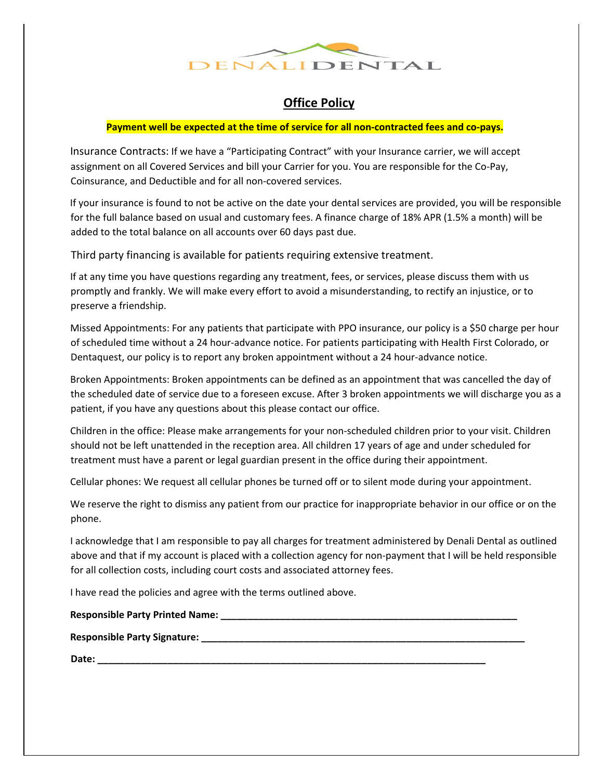

# **Office Policy**

### **Payment well be expected at the time of service for all non-contracted fees and co-pays.**

Insurance Contracts: If we have a "Participating Contract" with your Insurance carrier, we will accept assignment on all Covered Services and bill your Carrier for you. You are responsible for the Co-Pay, Coinsurance, and Deductible and for all non-covered services.

If your insurance is found to not be active on the date your dental services are provided, you will be responsible for the full balance based on usual and customary fees. A finance charge of 18% APR (1.5% a month) will be added to the total balance on all accounts over 60 days past due.

Third party financing is available for patients requiring extensive treatment.

If at any time you have questions regarding any treatment, fees, or services, please discuss them with us promptly and frankly. We will make every effort to avoid a misunderstanding, to rectify an injustice, or to preserve a friendship.

Missed Appointments: For any patients that participate with PPO insurance, our policy is a \$50 charge per hour of scheduled time without a 24 hour-advance notice. For patients participating with Health First Colorado, or Dentaquest, our policy is to report any broken appointment without a 24 hour-advance notice.

Broken Appointments: Broken appointments can be defined as an appointment that was cancelled the day of the scheduled date of service due to a foreseen excuse. After 3 broken appointments we will discharge you as a patient, if you have any questions about this please contact our office.

Children in the office: Please make arrangements for your non-scheduled children prior to your visit. Children should not be left unattended in the reception area. All children 17 years of age and under scheduled for treatment must have a parent or legal guardian present in the office during their appointment.

Cellular phones: We request all cellular phones be turned off or to silent mode during your appointment.

We reserve the right to dismiss any patient from our practice for inappropriate behavior in our office or on the phone.

I acknowledge that I am responsible to pay all charges for treatment administered by Denali Dental as outlined above and that if my account is placed with a collection agency for non-payment that I will be held responsible for all collection costs, including court costs and associated attorney fees.

I have read the policies and agree with the terms outlined above.

### Responsible Party Printed Name: **with a set of the Secure 2012**

**Responsible Party Signature: \_\_\_\_\_\_\_\_\_\_\_\_\_\_\_\_\_\_\_\_\_\_\_\_\_\_\_\_\_\_\_\_\_\_\_\_\_\_\_\_\_\_\_\_\_\_\_\_\_\_\_\_\_\_\_\_\_\_\_\_** 

**Date: \_\_\_\_\_\_\_\_\_\_\_\_\_\_\_\_\_\_\_\_\_\_\_\_\_\_\_\_\_\_\_\_\_\_\_\_\_\_\_\_\_\_\_\_\_\_\_\_\_\_\_\_\_\_\_\_\_\_\_\_\_\_\_\_\_\_\_\_\_\_\_\_**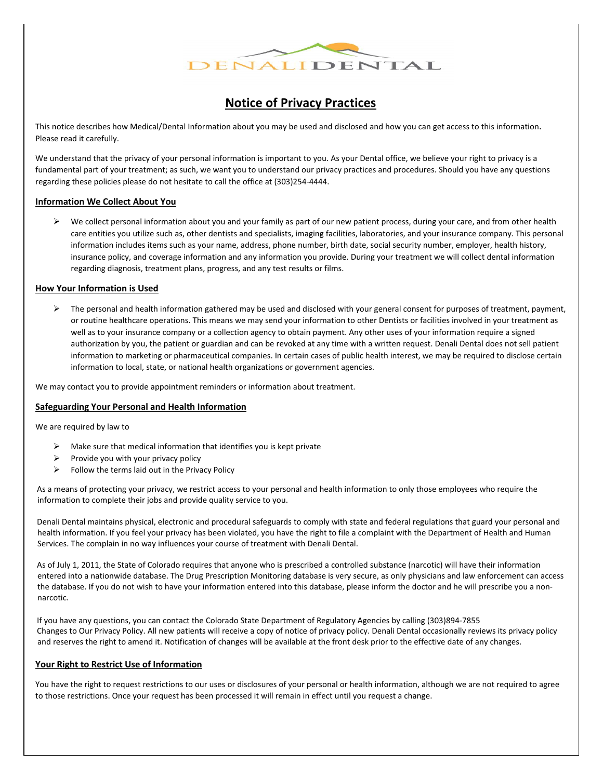

## **Notice of Privacy Practices**

This notice describes how Medical/Dental Information about you may be used and disclosed and how you can get access to this information. Please read it carefully.

We understand that the privacy of your personal information is important to you. As your Dental office, we believe your right to privacy is a fundamental part of your treatment; as such, we want you to understand our privacy practices and procedures. Should you have any questions regarding these policies please do not hesitate to call the office at (303)254-4444.

### **Information We Collect About You**

 $\triangleright$  We collect personal information about you and your family as part of our new patient process, during your care, and from other health care entities you utilize such as, other dentists and specialists, imaging facilities, laboratories, and your insurance company. This personal information includes items such as your name, address, phone number, birth date, social security number, employer, health history, insurance policy, and coverage information and any information you provide. During your treatment we will collect dental information regarding diagnosis, treatment plans, progress, and any test results or films.

### **How Your Information is Used**

 $\triangleright$  The personal and health information gathered may be used and disclosed with your general consent for purposes of treatment, payment, or routine healthcare operations. This means we may send your information to other Dentists or facilities involved in your treatment as well as to your insurance company or a collection agency to obtain payment. Any other uses of your information require a signed authorization by you, the patient or guardian and can be revoked at any time with a written request. Denali Dental does not sell patient information to marketing or pharmaceutical companies. In certain cases of public health interest, we may be required to disclose certain information to local, state, or national health organizations or government agencies.

We may contact you to provide appointment reminders or information about treatment.

#### **Safeguarding Your Personal and Health Information**

We are required by law to

- $\triangleright$  Make sure that medical information that identifies you is kept private
- $\triangleright$  Provide you with your privacy policy
- $\triangleright$  Follow the terms laid out in the Privacy Policy

As a means of protecting your privacy, we restrict access to your personal and health information to only those employees who require the information to complete their jobs and provide quality service to you.

Denali Dental maintains physical, electronic and procedural safeguards to comply with state and federal regulations that guard your personal and health information. If you feel your privacy has been violated, you have the right to file a complaint with the Department of Health and Human Services. The complain in no way influences your course of treatment with Denali Dental.

As of July 1, 2011, the State of Colorado requires that anyone who is prescribed a controlled substance (narcotic) will have their information entered into a nationwide database. The Drug Prescription Monitoring database is very secure, as only physicians and law enforcement can access the database. If you do not wish to have your information entered into this database, please inform the doctor and he will prescribe you a nonnarcotic.

If you have any questions, you can contact the Colorado State Department of Regulatory Agencies by calling (303)894-7855 Changes to Our Privacy Policy. All new patients will receive a copy of notice of privacy policy. Denali Dental occasionally reviews its privacy policy and reserves the right to amend it. Notification of changes will be available at the front desk prior to the effective date of any changes.

### **Your Right to Restrict Use of Information**

You have the right to request restrictions to our uses or disclosures of your personal or health information, although we are not required to agree to those restrictions. Once your request has been processed it will remain in effect until you request a change.